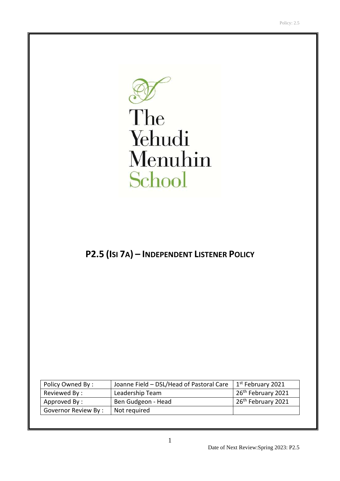

# The Yehudi Menuhin School

# **P2.5 (ISI 7A) – INDEPENDENT LISTENER POLICY**

| Policy Owned By:    | Joanne Field - DSL/Head of Pastoral Care | 1 <sup>st</sup> February 2021  |
|---------------------|------------------------------------------|--------------------------------|
| Reviewed By:        | Leadership Team                          | 26 <sup>th</sup> February 2021 |
| Approved By:        | Ben Gudgeon - Head                       | 26 <sup>th</sup> February 2021 |
| Governor Review By: | Not required                             |                                |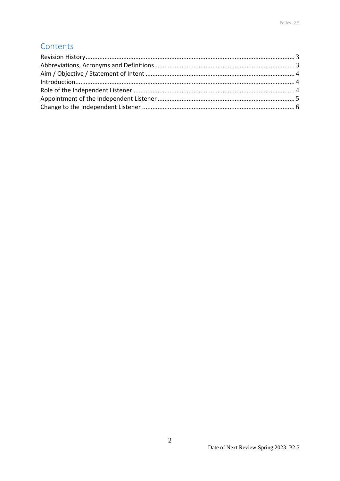## Contents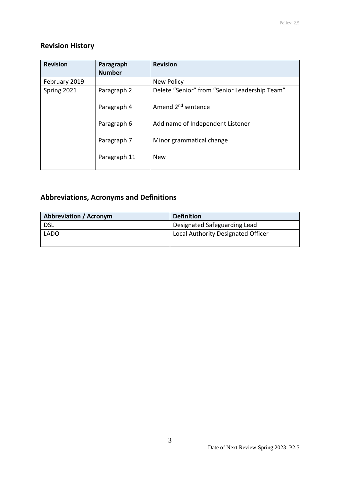### <span id="page-2-0"></span>**Revision History**

| <b>Revision</b> | Paragraph<br><b>Number</b> | <b>Revision</b>                               |
|-----------------|----------------------------|-----------------------------------------------|
| February 2019   |                            | New Policy                                    |
| Spring 2021     | Paragraph 2                | Delete "Senior" from "Senior Leadership Team" |
|                 | Paragraph 4                | Amend 2 <sup>nd</sup> sentence                |
|                 | Paragraph 6                | Add name of Independent Listener              |
|                 | Paragraph 7                | Minor grammatical change                      |
|                 | Paragraph 11               | <b>New</b>                                    |

# <span id="page-2-1"></span>**Abbreviations, Acronyms and Definitions**

| <b>Abbreviation / Acronym</b> | <b>Definition</b>                  |
|-------------------------------|------------------------------------|
| <b>DSL</b>                    | Designated Safeguarding Lead       |
| <b>LADO</b>                   | Local Authority Designated Officer |
|                               |                                    |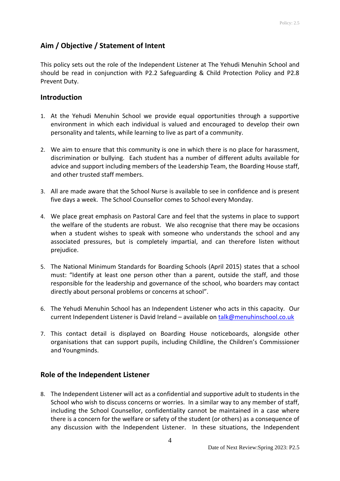#### <span id="page-3-0"></span>**Aim / Objective / Statement of Intent**

This policy sets out the role of the Independent Listener at The Yehudi Menuhin School and should be read in conjunction with P2.2 Safeguarding & Child Protection Policy and P2.8 Prevent Duty.

#### <span id="page-3-1"></span>**Introduction**

- 1. At the Yehudi Menuhin School we provide equal opportunities through a supportive environment in which each individual is valued and encouraged to develop their own personality and talents, while learning to live as part of a community.
- 2. We aim to ensure that this community is one in which there is no place for harassment, discrimination or bullying. Each student has a number of different adults available for advice and support including members of the Leadership Team, the Boarding House staff, and other trusted staff members.
- 3. All are made aware that the School Nurse is available to see in confidence and is present five days a week. The School Counsellor comes to School every Monday.
- 4. We place great emphasis on Pastoral Care and feel that the systems in place to support the welfare of the students are robust. We also recognise that there may be occasions when a student wishes to speak with someone who understands the school and any associated pressures, but is completely impartial, and can therefore listen without prejudice.
- 5. The National Minimum Standards for Boarding Schools (April 2015) states that a school must: "Identify at least one person other than a parent, outside the staff, and those responsible for the leadership and governance of the school, who boarders may contact directly about personal problems or concerns at school".
- 6. The Yehudi Menuhin School has an Independent Listener who acts in this capacity. Our current Independent Listener is David Ireland – available on [talk@menuhinschool.co.uk](mailto:talk@menuhinschool.co.uk)
- 7. This contact detail is displayed on Boarding House noticeboards, alongside other organisations that can support pupils, including Childline, the Children's Commissioner and Youngminds.

#### <span id="page-3-2"></span>**Role of the Independent Listener**

8. The Independent Listener will act as a confidential and supportive adult to students in the School who wish to discuss concerns or worries. In a similar way to any member of staff, including the School Counsellor, confidentiality cannot be maintained in a case where there is a concern for the welfare or safety of the student (or others) as a consequence of any discussion with the Independent Listener. In these situations, the Independent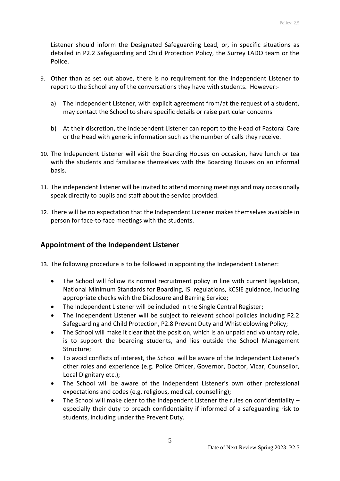Listener should inform the Designated Safeguarding Lead, or, in specific situations as detailed in P2.2 Safeguarding and Child Protection Policy, the Surrey LADO team or the Police.

- 9. Other than as set out above, there is no requirement for the Independent Listener to report to the School any of the conversations they have with students. However:
	- a) The Independent Listener, with explicit agreement from/at the request of a student, may contact the School to share specific details or raise particular concerns
	- b) At their discretion, the Independent Listener can report to the Head of Pastoral Care or the Head with generic information such as the number of calls they receive.
- 10. The Independent Listener will visit the Boarding Houses on occasion, have lunch or tea with the students and familiarise themselves with the Boarding Houses on an informal basis.
- 11. The independent listener will be invited to attend morning meetings and may occasionally speak directly to pupils and staff about the service provided.
- 12. There will be no expectation that the Independent Listener makes themselves available in person for face-to-face meetings with the students.

#### <span id="page-4-0"></span>**Appointment of the Independent Listener**

13. The following procedure is to be followed in appointing the Independent Listener:

- The School will follow its normal recruitment policy in line with current legislation, National Minimum Standards for Boarding, ISI regulations, KCSIE guidance, including appropriate checks with the Disclosure and Barring Service;
- The Independent Listener will be included in the Single Central Register;
- The Independent Listener will be subject to relevant school policies including P2.2 Safeguarding and Child Protection, P2.8 Prevent Duty and Whistleblowing Policy;
- The School will make it clear that the position, which is an unpaid and voluntary role, is to support the boarding students, and lies outside the School Management Structure;
- To avoid conflicts of interest, the School will be aware of the Independent Listener's other roles and experience (e.g. Police Officer, Governor, Doctor, Vicar, Counsellor, Local Dignitary etc.);
- The School will be aware of the Independent Listener's own other professional expectations and codes (e.g. religious, medical, counselling);
- The School will make clear to the Independent Listener the rules on confidentiality especially their duty to breach confidentiality if informed of a safeguarding risk to students, including under the Prevent Duty.